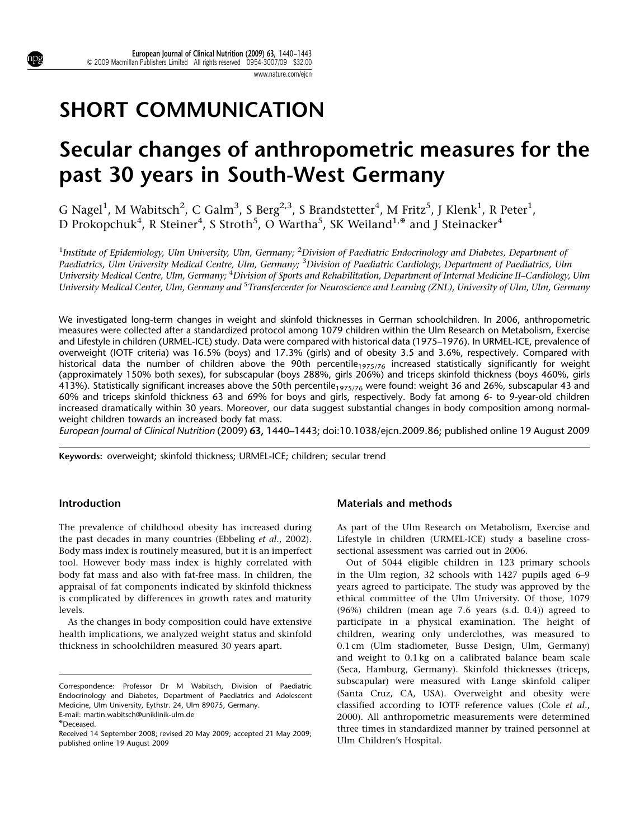# SHORT COMMUNICATION

# Secular changes of anthropometric measures for the past 30 years in South-West Germany

G Nagel<sup>1</sup>, M Wabitsch<sup>2</sup>, C Galm<sup>3</sup>, S Berg<sup>2,3</sup>, S Brandstetter<sup>4</sup>, M Fritz<sup>5</sup>, J Klenk<sup>1</sup>, R Peter<sup>1</sup>, D Prokopchuk $^4$ , R Steiner $^4$ , S Stroth $^5$ , O Wartha $^5$ , SK Weiland $^{1, \tiny\bf *}$  and J Steinacker $^4$ 

<sup>1</sup>Institute of Epidemiology, Ulm University, Ulm, Germany; <sup>2</sup>Division of Paediatric Endocrinology and Diabetes, Department of Paediatrics, Ulm University Medical Centre, Ulm, Germany; <sup>3</sup>Division of Paediatric Cardiology, Department of Paediatrics, Ulm University Medical Centre, Ulm, Germany; <sup>4</sup>Division of Sports and Rehabilitation, Department of Internal Medicine II–Cardiology, Ulm University Medical Center, Ulm, Germany and <sup>5</sup>Transfercenter for Neuroscience and Learning (ZNL), University of Ulm, Ulm, Germany

We investigated long-term changes in weight and skinfold thicknesses in German schoolchildren. In 2006, anthropometric measures were collected after a standardized protocol among 1079 children within the Ulm Research on Metabolism, Exercise and Lifestyle in children (URMEL-ICE) study. Data were compared with historical data (1975–1976). In URMEL-ICE, prevalence of overweight (IOTF criteria) was 16.5% (boys) and 17.3% (girls) and of obesity 3.5 and 3.6%, respectively. Compared with historical data the number of children above the 90th percentile<sub>1975/76</sub> increased statistically significantly for weight (approximately 150% both sexes), for subscapular (boys 288%, girls 206%) and triceps skinfold thickness (boys 460%, girls 413%). Statistically significant increases above the 50th percentile<sub>1975/76</sub> were found: weight 36 and 26%, subscapular 43 and 60% and triceps skinfold thickness 63 and 69% for boys and girls, respectively. Body fat among 6- to 9-year-old children increased dramatically within 30 years. Moreover, our data suggest substantial changes in body composition among normalweight children towards an increased body fat mass.

European Journal of Clinical Nutrition (2009) 63, 1440–1443; doi[:10.1038/ejcn.2009.86](http://dx.doi.org/10.1038/ejcn.2009.86); published online 19 August 2009

Keywords: overweight; skinfold thickness; URMEL-ICE; children; secular trend

### Introduction

The prevalence of childhood obesity has increased during the past decades in many countries ([Ebbeling](#page-3-0) et al., 2002). Body mass index is routinely measured, but it is an imperfect tool. However body mass index is highly correlated with body fat mass and also with fat-free mass. In children, the appraisal of fat components indicated by skinfold thickness is complicated by differences in growth rates and maturity levels.

As the changes in body composition could have extensive health implications, we analyzed weight status and skinfold thickness in schoolchildren measured 30 years apart.

## Materials and methods

As part of the Ulm Research on Metabolism, Exercise and Lifestyle in children (URMEL-ICE) study a baseline crosssectional assessment was carried out in 2006.

Out of 5044 eligible children in 123 primary schools in the Ulm region, 32 schools with 1427 pupils aged 6–9 years agreed to participate. The study was approved by the ethical committee of the Ulm University. Of those, 1079 (96%) children (mean age 7.6 years (s.d. 0.4)) agreed to participate in a physical examination. The height of children, wearing only underclothes, was measured to 0.1 cm (Ulm stadiometer, Busse Design, Ulm, Germany) and weight to 0.1 kg on a calibrated balance beam scale (Seca, Hamburg, Germany). Skinfold thicknesses (triceps, subscapular) were measured with Lange skinfold caliper (Santa Cruz, CA, USA). Overweight and obesity were classified according to IOTF reference values [\(Cole](#page-3-0) et al., [2000](#page-3-0)). All anthropometric measurements were determined three times in standardized manner by trained personnel at

Correspondence: Professor Dr M Wabitsch, Division of Paediatric Endocrinology and Diabetes, Department of Paediatrics and Adolescent Medicine, Ulm University, Eythstr. 24, Ulm 89075, Germany. E-mail: [martin.wabitsch@uniklinik-ulm.de](mailto:martin.wabitsch@uniklinik-ulm.de)

<sup>{</sup>Deceased.

Received 14 September 2008; revised 20 May 2009; accepted 21 May 2009; The Children's Hospital.<br>Republished online 19 August 2009 published online 19 August 2009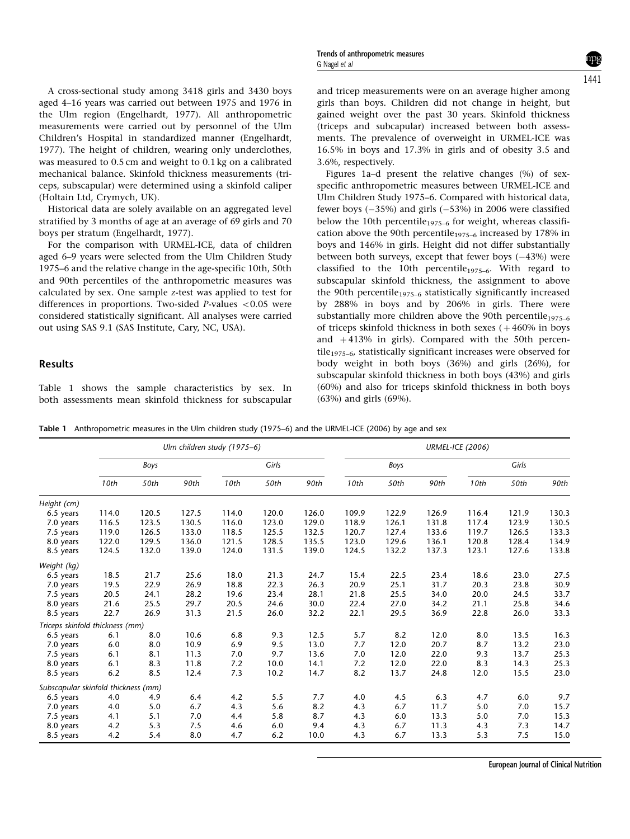A cross-sectional study among 3418 girls and 3430 boys aged 4–16 years was carried out between 1975 and 1976 in the Ulm region ([Engelhardt, 1977\)](#page-3-0). All anthropometric measurements were carried out by personnel of the Ulm Children's Hospital in standardized manner [\(Engelhardt,](#page-3-0) [1977](#page-3-0)). The height of children, wearing only underclothes, was measured to 0.5 cm and weight to 0.1 kg on a calibrated mechanical balance. Skinfold thickness measurements (triceps, subscapular) were determined using a skinfold caliper (Holtain Ltd, Crymych, UK).

Historical data are solely available on an aggregated level stratified by 3 months of age at an average of 69 girls and 70 boys per stratum ([Engelhardt, 1977\)](#page-3-0).

For the comparison with URMEL-ICE, data of children aged 6–9 years were selected from the Ulm Children Study 1975–6 and the relative change in the age-specific 10th, 50th and 90th percentiles of the anthropometric measures was calculated by sex. One sample z-test was applied to test for differences in proportions. Two-sided  $P$ -values <0.05 were considered statistically significant. All analyses were carried out using SAS 9.1 (SAS Institute, Cary, NC, USA).

# Results

Table 1 shows the sample characteristics by sex. In both assessments mean skinfold thickness for subscapular and tricep measurements were on an average higher among girls than boys. Children did not change in height, but gained weight over the past 30 years. Skinfold thickness (triceps and subcapular) increased between both assessments. The prevalence of overweight in URMEL-ICE was 16.5% in boys and 17.3% in girls and of obesity 3.5 and 3.6%, respectively.

[Figures 1a–d](#page-2-0) present the relative changes (%) of sexspecific anthropometric measures between URMEL-ICE and Ulm Children Study 1975–6. Compared with historical data, fewer boys  $(-35%)$  and girls  $(-53%)$  in 2006 were classified below the 10th percentile<sub>1975–6</sub> for weight, whereas classification above the 90th percentile<sub>1975–6</sub> increased by 178% in boys and 146% in girls. Height did not differ substantially between both surveys, except that fewer boys  $(-43%)$  were classified to the 10th percentile<sub>1975-6</sub>. With regard to subscapular skinfold thickness, the assignment to above the 90th percentile<sub>1975–6</sub> statistically significantly increased by 288% in boys and by 206% in girls. There were substantially more children above the 90th percentile $_{1975-6}$ of triceps skinfold thickness in both sexes  $(+460\%$  in boys and  $+413%$  in girls). Compared with the 50th percentile<sub>1975–6</sub>, statistically significant increases were observed for body weight in both boys (36%) and girls (26%), for subscapular skinfold thickness in both boys (43%) and girls (60%) and also for triceps skinfold thickness in both boys (63%) and girls (69%).

Table 1 Anthropometric measures in the Ulm children study (1975–6) and the URMEL-ICE (2006) by age and sex

|                                     | Ulm children study (1975-6) |       |       |       |       |       | <b>URMEL-ICE (2006)</b> |       |       |       |       |       |
|-------------------------------------|-----------------------------|-------|-------|-------|-------|-------|-------------------------|-------|-------|-------|-------|-------|
|                                     | Boys                        |       |       | Girls |       |       | Boys                    |       |       | Girls |       |       |
|                                     | 10th                        | 50th  | 90th  | 10th  | 50th  | 90th  | 10th                    | 50th  | 90th  | 10th  | 50th  | 90th  |
| Height (cm)                         |                             |       |       |       |       |       |                         |       |       |       |       |       |
| 6.5 years                           | 114.0                       | 120.5 | 127.5 | 114.0 | 120.0 | 126.0 | 109.9                   | 122.9 | 126.9 | 116.4 | 121.9 | 130.3 |
| 7.0 years                           | 116.5                       | 123.5 | 130.5 | 116.0 | 123.0 | 129.0 | 118.9                   | 126.1 | 131.8 | 117.4 | 123.9 | 130.5 |
| 7.5 years                           | 119.0                       | 126.5 | 133.0 | 118.5 | 125.5 | 132.5 | 120.7                   | 127.4 | 133.6 | 119.7 | 126.5 | 133.3 |
| 8.0 years                           | 122.0                       | 129.5 | 136.0 | 121.5 | 128.5 | 135.5 | 123.0                   | 129.6 | 136.1 | 120.8 | 128.4 | 134.9 |
| 8.5 years                           | 124.5                       | 132.0 | 139.0 | 124.0 | 131.5 | 139.0 | 124.5                   | 132.2 | 137.3 | 123.1 | 127.6 | 133.8 |
| Weight (kg)                         |                             |       |       |       |       |       |                         |       |       |       |       |       |
| 6.5 years                           | 18.5                        | 21.7  | 25.6  | 18.0  | 21.3  | 24.7  | 15.4                    | 22.5  | 23.4  | 18.6  | 23.0  | 27.5  |
| 7.0 years                           | 19.5                        | 22.9  | 26.9  | 18.8  | 22.3  | 26.3  | 20.9                    | 25.1  | 31.7  | 20.3  | 23.8  | 30.9  |
| 7.5 years                           | 20.5                        | 24.1  | 28.2  | 19.6  | 23.4  | 28.1  | 21.8                    | 25.5  | 34.0  | 20.0  | 24.5  | 33.7  |
| 8.0 years                           | 21.6                        | 25.5  | 29.7  | 20.5  | 24.6  | 30.0  | 22.4                    | 27.0  | 34.2  | 21.1  | 25.8  | 34.6  |
| 8.5 years                           | 22.7                        | 26.9  | 31.3  | 21.5  | 26.0  | 32.2  | 22.1                    | 29.5  | 36.9  | 22.8  | 26.0  | 33.3  |
| Triceps skinfold thickness (mm)     |                             |       |       |       |       |       |                         |       |       |       |       |       |
| 6.5 years                           | 6.1                         | 8.0   | 10.6  | 6.8   | 9.3   | 12.5  | 5.7                     | 8.2   | 12.0  | 8.0   | 13.5  | 16.3  |
| 7.0 years                           | 6.0                         | 8.0   | 10.9  | 6.9   | 9.5   | 13.0  | 7.7                     | 12.0  | 20.7  | 8.7   | 13.2  | 23.0  |
| 7.5 years                           | 6.1                         | 8.1   | 11.3  | 7.0   | 9.7   | 13.6  | 7.0                     | 12.0  | 22.0  | 9.3   | 13.7  | 25.3  |
| 8.0 years                           | 6.1                         | 8.3   | 11.8  | 7.2   | 10.0  | 14.1  | 7.2                     | 12.0  | 22.0  | 8.3   | 14.3  | 25.3  |
| 8.5 years                           | 6.2                         | 8.5   | 12.4  | 7.3   | 10.2  | 14.7  | 8.2                     | 13.7  | 24.8  | 12.0  | 15.5  | 23.0  |
| Subscapular skinfold thickness (mm) |                             |       |       |       |       |       |                         |       |       |       |       |       |
| 6.5 years                           | 4.0                         | 4.9   | 6.4   | 4.2   | 5.5   | 7.7   | 4.0                     | 4.5   | 6.3   | 4.7   | 6.0   | 9.7   |
| 7.0 years                           | 4.0                         | 5.0   | 6.7   | 4.3   | 5.6   | 8.2   | 4.3                     | 6.7   | 11.7  | 5.0   | 7.0   | 15.7  |
| 7.5 years                           | 4.1                         | 5.1   | 7.0   | 4.4   | 5.8   | 8.7   | 4.3                     | 6.0   | 13.3  | 5.0   | 7.0   | 15.3  |
| 8.0 years                           | 4.2                         | 5.3   | 7.5   | 4.6   | 6.0   | 9.4   | 4.3                     | 6.7   | 11.3  | 4.3   | 7.3   | 14.7  |
| 8.5 years                           | 4.2                         | 5.4   | 8.0   | 4.7   | 6.2   | 10.0  | 4.3                     | 6.7   | 13.3  | 5.3   | 7.5   | 15.0  |

European Journal of Clinical Nutrition

1441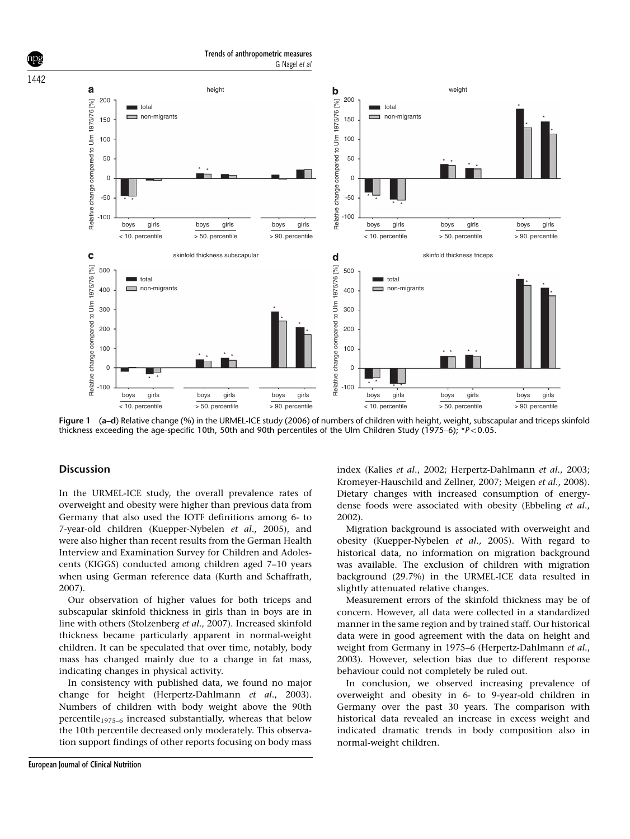<span id="page-2-0"></span>

Figure 1 (a–d) Relative change (%) in the URMEL-ICE study (2006) of numbers of children with height, weight, subscapular and triceps skinfold thickness exceeding the age-specific 10th, 50th and 90th percentiles of the Ulm Children Study (1975–6); \*P<0.05.

### **Discussion**

In the URMEL-ICE study, the overall prevalence rates of overweight and obesity were higher than previous data from Germany that also used the IOTF definitions among 6- to 7-year-old children ([Kuepper-Nybelen](#page-3-0) et al., 2005), and were also higher than recent results from the German Health Interview and Examination Survey for Children and Adolescents (KIGGS) conducted among children aged 7–10 years when using German reference data ([Kurth and Schaffrath,](#page-3-0) [2007](#page-3-0)).

Our observation of higher values for both triceps and subscapular skinfold thickness in girls than in boys are in line with others [\(Stolzenberg](#page-3-0) et al., 2007). Increased skinfold thickness became particularly apparent in normal-weight children. It can be speculated that over time, notably, body mass has changed mainly due to a change in fat mass, indicating changes in physical activity.

In consistency with published data, we found no major change for height [\(Herpertz-Dahlmann](#page-3-0) et al., 2003). Numbers of children with body weight above the 90th percentile<sub>1975–6</sub> increased substantially, whereas that below the 10th percentile decreased only moderately. This observation support findings of other reports focusing on body mass index (Kalies et al[., 2002](#page-3-0); [Herpertz-Dahlmann](#page-3-0) et al., 2003; [Kromeyer-Hauschild and Zellner, 2007](#page-3-0); [Meigen](#page-3-0) et al., 2008). Dietary changes with increased consumption of energydense foods were associated with obesity [\(Ebbeling](#page-3-0) et al., [2002](#page-3-0)).

Migration background is associated with overweight and obesity [\(Kuepper-Nybelen](#page-3-0) et al., 2005). With regard to historical data, no information on migration background was available. The exclusion of children with migration background (29.7%) in the URMEL-ICE data resulted in slightly attenuated relative changes.

Measurement errors of the skinfold thickness may be of concern. However, all data were collected in a standardized manner in the same region and by trained staff. Our historical data were in good agreement with the data on height and weight from Germany in 1975–6 [\(Herpertz-Dahlmann](#page-3-0) et al., [2003](#page-3-0)). However, selection bias due to different response behaviour could not completely be ruled out.

In conclusion, we observed increasing prevalence of overweight and obesity in 6- to 9-year-old children in Germany over the past 30 years. The comparison with historical data revealed an increase in excess weight and indicated dramatic trends in body composition also in normal-weight children.